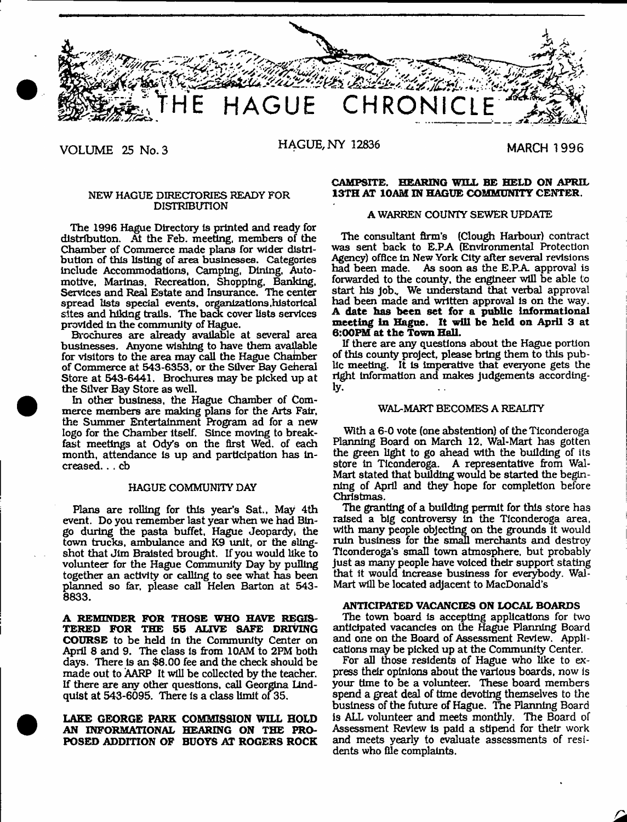

**VOLUME 25 No. 3 HAGUE, NY 12836**

**MARCH 1996** 

## NEW HAGUE DIRECTORIES READY FOR DISTRIBUTION

The 1996 Hague Directory Is printed and ready for distribution. At the Feb. meeting, members of the Chamber of Commerce made plans for wider distribution of this listing of area businesses. Categories include Accommodations, Camping, Dining, Automotive, Marinas. Recreation, Shopping, Banking, Services and Real Estate and Insurance. Hie center spread lists special events, organizations .historical sites and hiking trails. The back cover lists services provided In the community of Hague.

Brochures are already available at several area businesses. Anyone wishing to have them available for visitors to the area may call the Hague Chamber of Commerce at 543-6353, or the Silver Bay Geheral Store at 543-6441. Brochures may be picked up at the Silver Bay Store as well.

In other business, the Hague Chamber of Commerce members are making plans for the Arts Fair, the Summer Entertainment Program ad for a new logo for the Chamber Itself. Since moving to breakfast meetings at Ody's on the first Wed. of each month, attendance Is up and participation has increased. . . cb

#### HAGUE COMMUNITY DAY

Plans are rolling for this year's Sat., May 4th event. Do you remember last year when we had Bingo during the pasta buffet, Hague Jeopardy, the town trucks, ambulance and K9 unit, or the slingshot that Jim Bralsted brought. If you would like to volunteer for the Hague Community Day by pulling together an activity or calling to see what has been planned so far, please call Helen Barton at 543- 8833.

**A REMINDER FOR THOSE WHO HAVE REGIS-TERED FOR THE 55 ALIVE SAFE DRIVING COURSE** to be held in the Community Center on April 8 and 9. The class is from 10AM to 2PM both days. There Is an \$8.00 fee and the check should be made out to AARP It will be collected by the teacher. If there are any other questions, call Georgina Lindquist at 543-6095. There is a class limit of 35.

# **LAKE GEORGE PARK COMMISSION WILL HOLD AN INFORMATIONAL HEARING ON THE PRO-POSED ADDITION OF BUOYS AT ROGERS ROCK**

## **CAMPSITE. HEARING WILL BE HELD ON APRIL 13TH AT 10AM IN HAGUE COMMUNITY CENTER.**

# **A** WARREN COUNTY SEWER UPDATE

The consultant firm's (Clough Harbour) contract was sent back to E.PA (Environmental Protection Agency) office In New York City alter several revisions had been made. As soon as the E.PA approval is forwarded to the county, the engineer will be able to start his Job., We understand that verbal approval had been made and written approval Is on the way. **A date been set for a public Informational meeting in Hague. It will be held on April** 3 at **6:00PM at the Town Hall.**

If there are any questions about the Hague portion of this county project, please bring them to this public meeting. It is Imperative that everyone gets the right information and makes judgements accordingly.

#### WAL-MART BECOMES A REALTTY

With a 6-0 vote (one abstention) of the Ticonderoga Planning Board on March 12, Wal-Mart has gotten the green light to go ahead with the building of its store in Tlconderoga. A representative from Wal-Mart stated that building would be started the beginning of April and they hope for completion before Christmas.

The granting of a building permit for this store has raised a big controversy In the Tlconderoga area, with many people objecting on the grounds it would ruin business for the small merchants and destroy Ticonderoga's small town atmosphere, but probably just as many people have voiced their support stating that it would Increase business for everybody. Wal-Mart will be located adjacent to MacDonald's

## **ANTICIPATED VACANCIES ON LOCAL BOARDS**

The town board is accepting applications for two anticipated vacancies on the Hague Planning Board and one on the Board of Assessment Review. Applications may be picked up at the Community Center.

For all those residents of Hague who like to express their opinions about the various boards, now is your time to be a volunteer. These board members spend a great deal of time devoting themselves to the business of the future of Hague. The Planning Board is ALL volunteer and meets monthly. The Board of Assessment Review is paid a stipend for their work and meets yearly to evaluate assessments of residents who file complaints.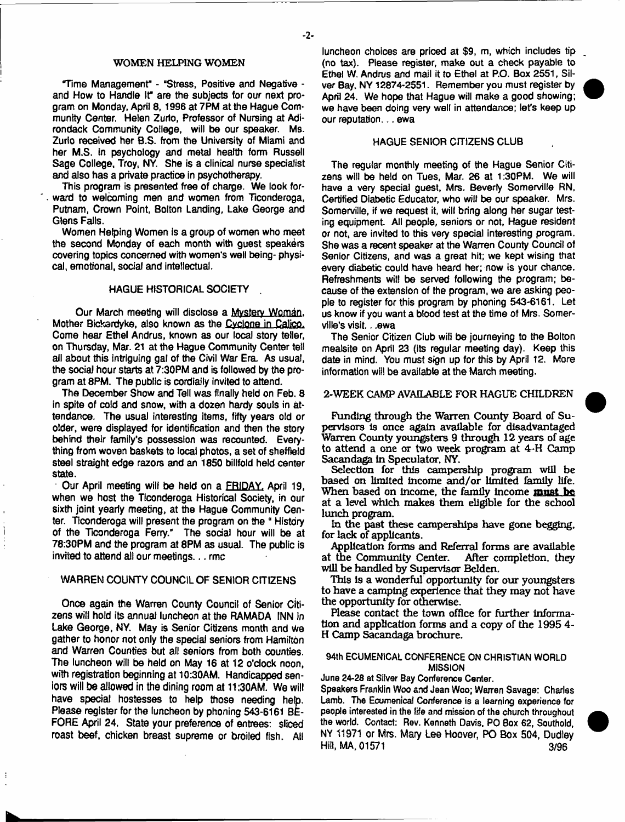## WOMEN HELPING WOMEN

Time Management" - "Stress, Positive and Negative and How to Handle It" are the subjects tor our next program on Monday, April 8, 1996 at 7PM at the Hague Community Center. Helen Zurio, Professor of Nursing at Adirondack Community College, will be our speaker. Ms. Zurto received her B.S. from the University of Miami and her M.S. in psychology and metal health form Russell Sage College, Troy, NY. She is a clinical nurse specialist and also has a private practice in psychotherapy.

This program is presented free of charge. We look forward to welcoming men and women from Ticonderoga, Putnam, Crown Point, Bolton Landing, Lake George and Glens Falls.

Women Helping Women is a group of women who meet the second Monday of each month with guest speakers covering topics concerned with women's well being- physical, emotional, social and intellectual.

#### HAGUE HISTORICAL SOCIETY .

Our March meeting will disclose a Mystery Woman. Mother Bickardyke, also known as the Cvclone in Calico. Come hear Ethel Andrus, known as our local story teller, on Thursday, Mar. 21 at the Hague Community Center tel! ail about this intriguing gal of the Civil War Era. As usual, the social hour starts at 7:30PM and is followed by the program at 8PM. The public is cordially invited to attend.

The December Show and Tell was finally held on Feb, 8 in spite of cold and snow, with a dozen hardy souls in attendance. The usual interesting items, fifty years old or older, were displayed for identification and then the story behind their family's possession was recounted. Everything from woven baskets to local photos, a set of Sheffield steel straight edge razors and an 1850 billfold held center state.

Our April meeting will be held on a FRIDAY. April 19, when we host the Ticonderoga Historical Society, in our sixth joint yearly meeting, at the Hague Community Center. Ticonderoga will present the program on the " History of the Ticonderoga Ferry." The social hour will be at 78:30PM and the program at 8PM as usual. The public is invited to attend all our meetings... rmc

# WARREN COUNTY COUNCIL OF SENIOR CITIZENS

Once again the Warren County Council of Senior Citizens will hoid its annual luncheon at the RAMADA INN in Lake George, NY. May is Senior Citizens month and We gather to honor not only the special seniors from Hamilton and Warren Counties but all seniors from both counties. The luncheon will be held on May 16 at 12 o'clock noon, with registration beginning at 10:30AM. Handicapped seniors will be allowed in the dining room at 11:30AM. We will have special hostesses to help those needing heto. Please register for the luncheon by phoning 543-6161 BE-FORE April 24. State your preference of entrees: sliced roast beef, chicken breast supreme or broiled fish. All

luncheon choices are priced at \$9, m, which includes tip (no tax). Please register, make out a check payable to Ethel W. Andrus and mail it to Ethel at P.O. Box 2551, Silver Bay, NY 12874-2551. Remember you must register by April 24. We hope that Hague will make a good showing; we have been doing very well in attendance; let's keep up our reputation... ewa

## HAGUE SENIOR CITIZENS CLUB

The regular monthly meeting of the Hague Senior Citizens will be held on Tues, Mar. 26 at 1:30PM. We will have a very special guest, Mrs. Beverly Somerville RN, Certified Diabetic Educator, who will be our speaker. Mrs. Somerville, if we request it, will bring along her sugar testing equipment. All people, seniors or not, Hague resident or not, are invited to this very special interesting program. She was a recent speaker at the Warren County Council of Senior Citizens, and was a great hit; we kept wising that every diabetic could have heard her; now is your chance. Refreshments will be served following the program; because of the extension of the program, we are asking people to register for this program by phoning 543-6161. Let us know if you want a blood test at the time of Mrs. Somerville's visit.. .ewa

The Senior Citizen Club will be journeying to the Bolton mealsite on April 23 (its regular meeting day). Keep this date in mind. You must sign up for this by April 12. More information will be available at the March meeting.

## 2-WEEK CAMP AVAILABLE FOR HAGUE CHILDREN

Funding through the Warren County Board of Supervisors is once again available for disadvantaged Warren County youngsters 9 through 12 years of age to attend a one or two week program at 4-H Camp Sacandaga In Speculator. NY.

Selection for this campership program will be based on limited income and/or limited family life. When based on Income, the family Income **mmt be** at a level which makes them eligible for the school lunch program.

In the past these camperships have gone begging, for lack of applicants.

Application forms and Referral forms are available at the Community Center. After completion, they will be handled by Supervisor Belden.

This is a wonderful opportunity for our youngsters to have a camping experience that they may not have the opportunity for otherwise.

Please contact the town office for further information and application forms and a copy of the 1995 4- H Camp Sacandaga brochure.

## 94th ECUMENICAL CONFERENCE ON CHRISTIAN WORLD MISSION

June 24-28 at Silver Bay Conference Center,

Speakers Franklin Woo and Jean Woo; Warren Savage: Charles Lamb. The Ecumenical Conference is a learning experience for people interested in the life and mission of the church throughout the world. Contact: Rev, Kenneth Davis, PO Box 62, Southold, NY 11971 or Mrs. Mary Lee Hoover, PO Box 504, Dudley Hill, MA, 01571 3/96



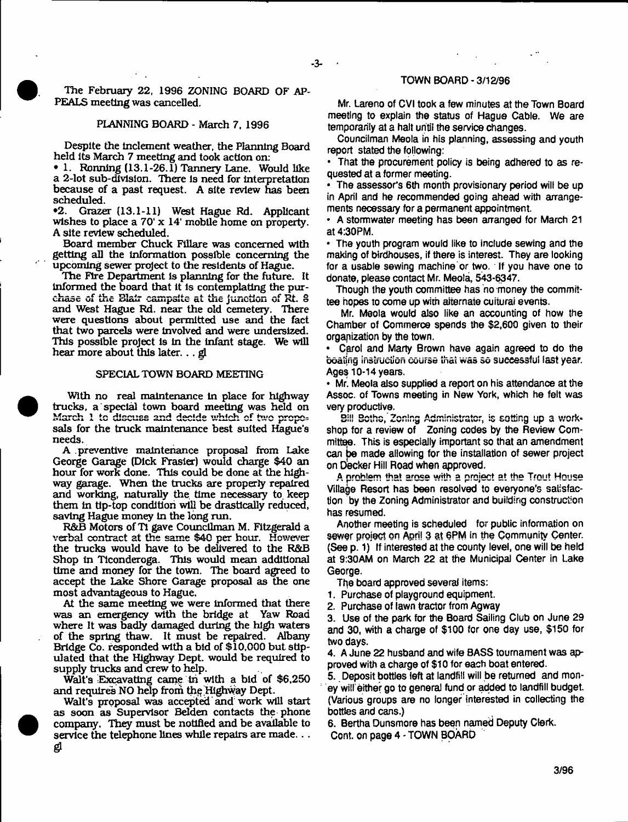The February 22, 1996 ZONING BOARD OF AP-PEALS meeting was cancelled,

#### PLANNING BOARD - March 7, 1996

Despite the inclement weather, the Planning Board held Its March 7 meeting and took action on:

♦ 1. Ronnlng (13.1-26.1) Tannery Lane. Would like a 2-lot sub-division. There is need for interpretation because of a past request. A site review has been scheduled.<br> **•2.** Graze

•2. Grazer (13.1-11) West Hague Rd. Applicant wishes to place a 70' x 14' mobile home on property. A site review scheduled.

Board member Chuck Fillare was concerned with getting all the Information possible concerning the upcoming sewer project to the residents of Hague.

The Fire Department is planning for the future. It Informed the board that it is contemplating the purchase of the Blair campsite at the junction of Rt. 8 and West Hague Rd. near the old cemetery. There were questions about permitted use and the fact that two parcels were Involved and were undersized. This possible project is in the infant stage. We will hear more about this later. .. gl

#### SPECIAL TOWN BOARD MEETING

With no real maintenance in place for highway trucks, a special town board meeting was held on sals for the truck maintenance best suited Hague's needs.

A preventive maintenance proposal from Lake George Garage (Dick Frasier) would charge \$40 an hour for work done. This could be done at the highway garage. When the trucks are properly repaired and working, naturally the time necessary to, keep them In tip-top condition will be drastically reduced, saving Hague money in the long run.

R&B Motors of Tl gave Councilman M. Fitzgerald a verbal contract at the same \$40 per hour. However the trucks would have to be delivered to the R&B Shop In Tlconderoga. This would mean additional time and money for the town. The board agreed to accept the Lake Shore Garage proposal as the one most advantageous to Hague.

At the same meeting we were informed that there was an emergency with the bridge at Yaw Road where It was badly damaged during the high waters of the spring thaw. It must be repaired. Albany Bridge Co. responded with a bid of \$10,000 but stipulated that the Highway Dept, would be required to supply trucks and crew to help.

Walt's Excavating came In with a bid of \$6,250 and requires NO help from the Highway Dept.

Walt's proposal was accepted and work will start as soon as Supervisor Belden contacts the phone company. They must be notified and be available to service the telephone lines while repairs are made... ይ

# TOWN BOARD-3/12/96

Mr. Lareno of CVI took a few minutes at the Town Board meeting to explain the status of Hague Cable. We are temporarily at a halt until the service changes.

Councilman Meola in his planning, assessing and youth report stated the following:

• That the procurement policy is being adhered to as requested at a former meeting.

• The assessor's 6th month provisionary period will be up in April and he recommended going ahead with arrangements necessary for a permanent appointment.

• A stormwater meeting has been arranged for March 21 at 4:30PM.

• The youth program would like to include sewing and the making of birdhouses, if there is interest. They are looking for a usable sewing machine or two. If you have one to donate, please contact Mr. Meola, 543-6347.

Though the youth committee has no money the committee hopes to come up with alternate cuiturai events.

Mr. Meola would also like an accounting of how the Chamber of Commerce spends the \$2,600 given to their organization by the town.

• Carol and Marty Brown have again agreed to do the boating instruction course that was so successful last year. Ages 10-14 years.

• Mr. Meola also supplied a report on his attendance at the Assoc, of Towns meeting in New York, which he felt was very productive.

Bill Bothe, Zoning Administrator, is setting up a workshop for a review of Zoning codes by the Review Committee. This is especially important so that an amendment can be made allowing for the installation of sewer project on Decker Hill Road when approved.

A problem that arose with a project at the Trout House Village Resort has been resolved to everyone's satisfaction by the Zoning Administrator and building construction has resumed.

Another meeting is scheduled for public information on sewer project on April 3 at 6PM in the Community Center. (See p. 1) If interested at the county level, one will be held at 9:30AM on March 22 at the Municipal Center in Lake George.

The board approved several items:

1. Purchase of playground equipment.

2. Purchase of lawn tractor from Agway

3. Use of the park for the Board Sailing Club on June 29 and 30, with a charge of \$100 for one day use, \$150 for two days.

4. A June 22 husband and wife BASS tournament was approved with a charge of \$10 for each boat entered.

5. Deposit bottles left at landfill will be returned and money wilf either go to general fund or added to landfill budget. (Various groups are no longer interested in collecting the bottles and cans.)

6. Bertha Dunsmore has been named Deputy Clerk. Cont. on page 4 - TOWN BOARD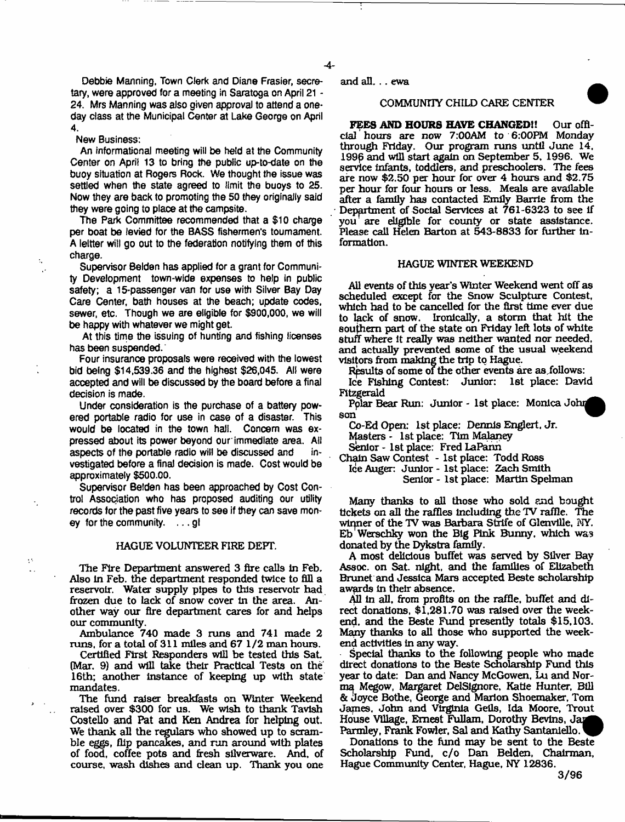$-4$ 

Debbie Manning, Town Clerk and Diane Frasier, secretary, were approved for a meeting in Saratoga on April 21 - 24. Mrs Manning was aJso given approval to attend a oneday class at the Municipal Center at Lake George on April 4.

#### New Business:

An informational meeting will be held at the Community Center on April 13 to bring the public up-to-date on the buoy situation at Rogers Rock. We thought the issue was settled when the state agreed to limit the buoys to 25. Now they are back to promoting the 50 they originafly said they were going to place at the campsite.

The Park Committee recommended that a \$10 charge per boat be levied for the BASS fishermen's tournament. A leltter will go out to the federation notifying them of this charge.

Supervisor Bolden has applied for a grant for Community Development town-wide expenses to help in public safety; a 15-passenger van for use with Silver Bay Day Care Center, bath houses at the beach; update codes, sewer, etc. Though we are eligible for \$900,000, we will be happy with whatever we might get.

At this time the issuing of hunting and fishing licenses has been suspended.'

Four insurance proposals were received with the lowest bid being \$14,539.36 and the highest \$26,045. All were accepted and will be discussed by the board before a final decision is made.

Under consideration is the purchase of a battery powered portable radio for use in case of a disaster. This would be located in the town half. Concern was expressed about its power beyond our'immediate area. Ail aspects of the portable radio will be discussed and investigated before a final decision is made. Cost would be approximately \$500.00.

Supervisor Betden has been approached by Cost Control Association who has proposed auditing our utility records for the past five years to see if they can save money for the community, ... gl

#### HAGUE VOLUNTEER FIRE DEFT.

The Fire Department answered 3 fire calls In Feb. Also in Feb. the department responded twice to fill a reservoir. Water supply pipes to this reservoir had frozen due to lack of snow cover in the area. Another way our fire department cares for and helps our community.

Ambulance 740 made 3 runs and 741 made 2 runs, for a total of 311 miles and 67 1/2 man hours.

Certified First Responders will be tested this Sat. (Mar. 9) and will take their Practical Tests on the 16th; another instance of keeping up with state mandates.

The fund raiser breakfasts on Winter Weekend raised over \$300 for us. We wish to thank Tavlsh Costello and Pat and Ken Andrea for helping out. We thank all the regulars who showed up to scramble eggs, flip pancakes, and ran around with plates of food, coffee pots and fresh silverware. And, of course, wash dishes and dean up. Thank you one and all. .. ewa

## COMMUNITY CHILD CARE CENTER

**FEES AND HOURS HAVE CHANGED!!** Our official hours are now 7:00AM to 6:00PM Monday through Friday. Our program runs until June 14, 1996 and will start again on September 5, 1996. We service infants, toddlers, and preschoolers. The fees are now \$2.50 per hour for over 4 hours and \$2.75 per hour for four hours or less. Meals are available after a family has contacted Emily Barrie from the Depprtment of Social Services at 761-6323 to see if you are eligible for county or state assistance. Please call Helen Barton at 543-8833 for further information.

## HAGUE WINTER WEEKEND

All events of this year's Winter Weekend went off as scheduled except for the Snow Sculpture Contest, which had to be cancelled for the first time ever due to lack of snow. Ironically, a storm that hit the southern part of the state on Friday left lots of white stuff where it really was neither wanted nor needed, and actually prevented some of the usual weekend visitors from making the trip to Hague.

Results of some of the other events are as. follows:

Ice Fishing Contest: Junior: 1st place: David Fitzgerald \_

Polar Bear Run: Junior - 1st place: Monica John son

Co-Ed Open: 1st place: Dennis Englert, Jr. Masters - 1st place: Tim Malaney

Senior - 1st place: Fred LaPann

Chain Saw Contest - 1st place: Todd Ross Ice Auger: Junior - 1st place: Zach Smith Senior - 1st place: Martin Spelman

Many thanks to all those who sold and bought tickets on all the raffles including the TV raffle. The winner of the TV was Barbara Strife of Glenville, NY. Eb Werschky won the Big Pink Bunny, which was donated by the Dykstra family.

A most delicious buffet was served by Silver Bay Assoc, on Sat. night, and the families of Elizabeth Brunet and Jessica Mars accepted Beste scholarship awards in their absence.

All in all, from profits on the raffle, buffet and direct donations, \$1,281.70 was raised over the weekend, and the Beste Fund presently totals \$15,103. Many thanks to all those who supported the weekend activities in any way.

Special thanks to the following people who made direct donations to the Beste Scholarship Fund this year to date: Dan and Nancy McGowen, Lu and Norma Megow, Margaret DdSignore, Katie Hunter, Bill & Joyce Bothe, George and Marion Shoemaker, Tom James, John and Virginia Geils, Ida Moore, Trout House Village, Ernest Fullam, Dorothy Bevins, Jap Parmley, Frank Fowler, Sal and Kathy Santanlello.

Donations to the fund may be sent to the Beste Scholarship Fund, c/o Dan Belden, Chairman, Hague Community Center, Hague, NY 12836.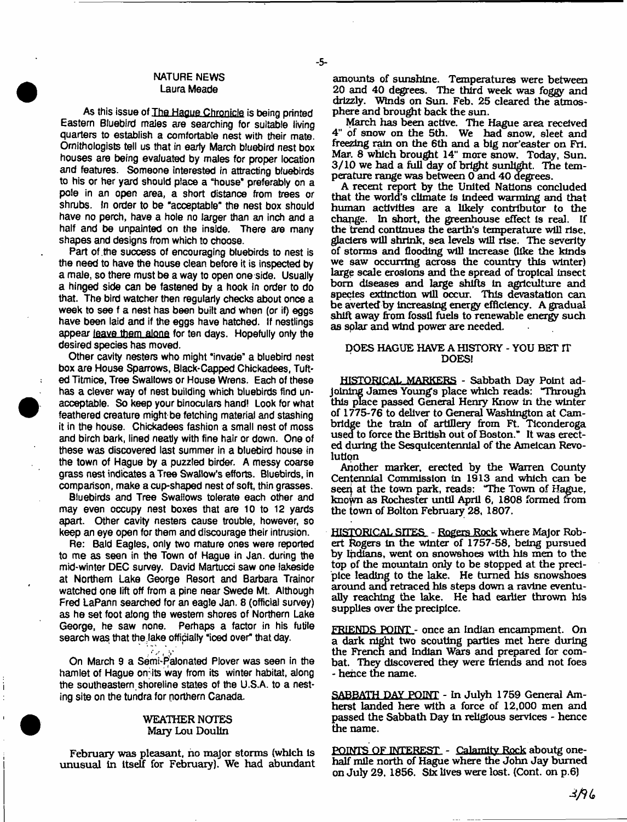# NATURE NEWS Laura Meade

- 5-

As this issue of The Hague Chronicle is being printed Eastern Bluebird males are searching for suitable living quarters to establish a comfortable nest with their mate. Ornithologists tell us that in earty March bluebird nest box houses are being evaluated by males for proper location and features. Someone interested in attracting bluebirds to his or her yard should place a "house\* preferably on a pole in an open area, a short distance from trees or shrubs. In order to be "acceptable" the nest box should have no perch, have a hole no larger than an inch and a half and be unpainted on the inside. There are many shapes and designs from which to choose.

Part of the success of encouraging bluebirds to nest is the need to have the house clean before it is inspected by a mate, so there must be a way to open one side. Usually a hinged side can be fastened by a hook in order to do that. The bird watcher then regularly checks about once a week to see f a nest has been built and when (or if) eggs have been laid and if the eggs have hatched. If nestlings appear leave them alone for ten days. Hopefully only the desired species has moved.

Other cavity nesters who might "invade" a bluebird nest box are House Sparrows, Black-Capped Chickadees, Tufted Titmice, Tree Swallows or House Wrens. Each of these has a clever way of nest building which bluebirds find unacceptable. So keep your binoculars hand! Look for what feathered creature might be fetching material and stashing it in the house. Chickadees fashion a small nest of moss and birch bark, lined neatly with fine hair or down. One of these was discovered last summer in a bluebird house in the town of Hague by a puzzled birder. A messy coarse grass nest indicates a Tree Swallow's efforts. Bluebirds, in comparison, make a cup-shaped nest of soft, thin grasses.

Bluebirds and Tree Swallows tolerate each other and may even occupy nest boxes that are 10 to 12 yards apart. Other cavity nesters cause trouble, however, so keep an eye open for them and discourage their intrusion.

Re: Bald Eagles, only two mature ones were reported to me as seen in the Town of Hague in Jan. during the mid-winter DEC survey. David Martucci saw one lakeside at Northern Lake George Resort and Barbara Trainor watched one lift off from a pine near Swede Mt. Although Fred LaPann searched for an eagle Jan. 8 (official survey) as he set foot along the western shores of Northern Lake George, he saw none. Perhaps a factor in his futile search was that the fake officially "iced over" that day.

On March 9 a Semi-Palonated Plover was seen in the hamlet of Hague omits way from its winter habitat, along the southeastern shoreline states of the U.S.A. to a nesting site on the tundra for northern Canada.

## WEATHER NOTES Mary Lou Doulin

unusual in itself for February). We had abundant

amounts of sunshine. Temperatures were between 20 and 40 degrees. The third week was foggy and drizzly. Winds on Sun. Feb. 25 cleared the atmosphere and brought back the sun.

March has been active. The Hague area received 4" of snow on the 5th. We had snow, sleet and freezing rain on the 6£h and a big nor'easter on Fri. Mar. 8 which brought 14" more snow. Today, Sun. 3/10 we had a full day of bright sunlight. The temperature range was between 0 and 40 degrees.

A recent report by the United Nations concluded that the world's climate is Indeed warming and that human activities are a likely contributor to the change. In short, the greenhouse effect Is real. If the trend continues the earth's temperature will rise, glaciers will shrink, sea levels will rise. The severity of storms and flooding will increase (like the kinds we saw occurring across the country this winter) large scale erosions and the spread of tropical insect born diseases and large shifts In agriculture and species extinction will occur. This devastation can be averted by increasing energy efficiency. A gradual shift away from fossil fuels to renewable energy such as solar and wind power are needed.

# DOES HAGUE HAVE A HISTORY - YOU BET IT DOES!

HISTORICAL MARKERS - Sabbath Day Point adjoining James Youngs place which reads: "Through this place passed General Henry Know In the winter of 1775-76 to deliver to General Washington at Cambridge the train of artillery from Ft. Tlconderoga used to force the British out of Boston." It was erected during the Sesquicentennlal of the Amelcan Revolution

Another marker, erected by the Warren County Centennial Commission in 1913 and which can be seen at the town park, reads: "The Town of Hague, knoym as Rochester until April 6, 1808 formed from the town of Bolton February 28, 1807.

HISTORICAL SITES - Rogers Rock where Major Robert Rogers In the winter of 1757-58, being pursued by Indians, went on snowshoes with his men to the top of the mountain only to be stopped at the precipice leading to the lake. He turned his snowshoes around and retraced his steps down a ravine eventually reaching the lake. He had earlier thrown his supplies over the precipice.

FRIENDS POINT - once an Indian encampment. On a dark night two scouting parties met here during the French and Indian Wars and prepared for combat. They discovered they were friends and not foes - hence the name.

SABBATH DAY POINT - In Julyh 1759 General Amherst landed here with a force of 12,000 men and passed the Sabbath Day In religious services - hence the name.

February was pleasant, no major storms (which is POINTS OF INTEREST - Calamity Rock aboutg one-<br>pusual in itself for February). We had abundant half mile north of Hague where the John Jay burned on July 29. 1856. Six lives were lost. (Cont. on p.6)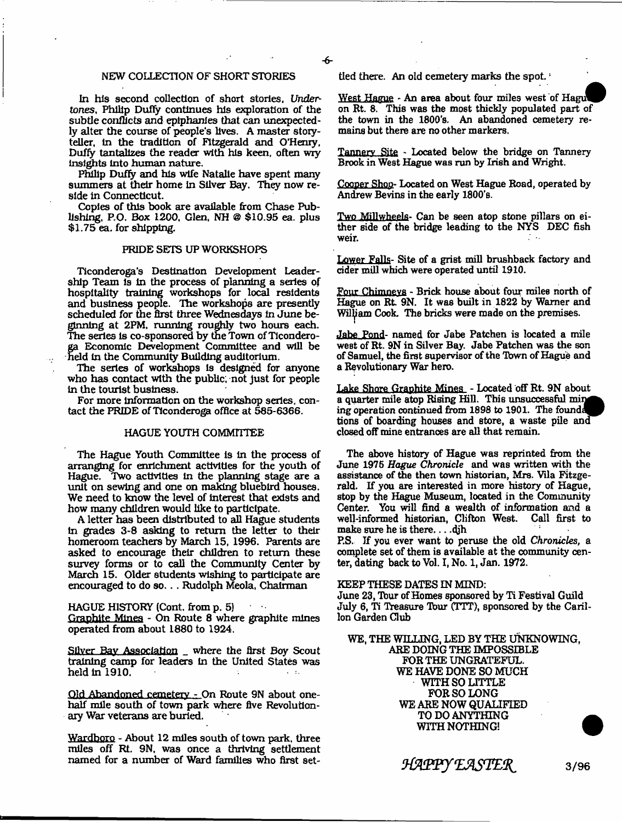## NEW COLLECTION OF SHORT STORIES

In his second collection of short stories, *Undertones,* Philip Duffy continues his exploration of the subtle conflicts and epiphanies that can unexpectedly alter the course of people's lives. A master storyteller, in the tradition of Fitzgerald and O'Henry, Duffy tantalizes the reader with his keen, often wry insights Into human nature.

Philip Duffy and his wife Natalie have spent many summers at their home In Silver Bay. They now reside in Connecticut.

Copies of this book are available from Chase Publishing, P.O. Box 1200, Glen, NH @ \$10.95 ea. plus \$1.75 ea. for shipping.

#### PRIDE SETS UP WORKSHOPS

Ticonderoga's Destination Development Leadership Team Is In the process of planning a series of hospitality training workshops for local residents and business people. The workshops are presently scheduled for the first three Wednesdays In June beginning at 2PM, running roughly two hours each. The series is co-sponsored by the Town of Ticonderoga Economic Development Committee and will be held In the Community Building auditorium.

The series of workshops is designed for anyone who has contact with the public, not just for people in the tourist business.

For more Information on the workshop series, contact the PRIDE of Ticonderoga office at 585-6366.

#### HAGUE YOUTH COMMITTEE

The Hague Youth Committee is in the process of arranging for enrichment activities for the youth of Hague. Two activities in the planning stage are a unit on sewing and one on making bluebird houses. We need to know the level of interest that exists and how many children would like to participate.

A letter has been distributed to all Hague students in grades 3-8 asking to return the letter to their homeroom teachers by March 15, 1996. Parents are asked to encourage their children to return these survey forms or to call the Community Center by March 15. Older students wishing to participate are encouraged to do so. . . Rudolph Meola, Chairman

HAGUE HISTORY (Cont. from p. 5) Graphite Mines - On Route 8 where graphite mines operated from about 1880 to 1924,

Silver Bay Association \_ where the first Boy Scout training camp for leaders In the United States was held in 1910.

Old Abandoned cemetery - On Route 9N about onehalf mile south of town park where five Revolutionary War veterans are burled.

Wardboro - About 12 miles south of town park, three miles off Rt. 9N, was once a thriving settlement named for a number of Ward families who first settled there. An old cemetery marks the spot.<sup>1</sup>

West Hague - An area about four miles west of Hagu on Rt. 8. This was the most thickly populated part of the town in the 1800's. An abandoned cemetery remains but there are no other markers.

Tannery Site - Located below the bridge on Tannery Brook in West Hague was run by Irish and Wright.

Cooper Shop- Located on West Hague Road, operated by Andrew Bevins in the early 1800's.

Two Millwheels- Can be seen atop stone pillars on either side of the bridge leading to the NYS DEC fish weir.

Lower Falls- Site of a grist mill brushback factory and cider mill which were operated until 1910.

Four Chimneys - Brick house about four miles north of Hague on Rt. 9N. It was built in 1822 by Warner and Wiliam Cook. The bricks were made on the premises.

Jabe Pond- named for Jabe Patchen is located a mile west of Rt. 9N in Silver Bay. Jabe Patchen was the son of Samuel, the first supervisor of the Town of Hague and a Revolutionary War hero.

Lake Shore Graphite Mines - Located off Rt. 9N about a quarter mile atop Rising Hill. This unsuccessful min ing operation continued from 1898 to 1901. The found tions of boarding houses and store, a waste pile and closed off mine entrances are all that remain.

The above history of Hague was reprinted from the June 1976 *Hague Chronicle* and was written with the assistance of the then town historian, Mrs. Vila Fitzgerald. If you are interested in more history of Hague, stop by the Hague Museum, located in the Community Center. You will find a wealth of information and a well-informed historian, Clifton West. make sure he is there... .djh

P.S, Jf you ever want to peruse the old *Chronicles,* a complete set of them is available at the community center, dating back to Vol. I, No. 1, Jan. 1972.

#### KEEP THESE DATES IN MIND:

June 23, Tour of Homes sponsored by Ti Festival Guild July 6, Ti Treasure Tbur (TTT), sponsored by the Carillon Garden Club

WE, THE WILLING, LED BY THE UNKNOWING, ARE DOING THE IMPOSSIBLE FOR THE UNGRATEFUL. WE HAVE DONE SO MUCH WITH SO LITTLE FOR SO LONG WE ARE NOW QUALIFIED TO DO ANYTHING WITH NOTHING!

*HAPPY EASTER* 3/96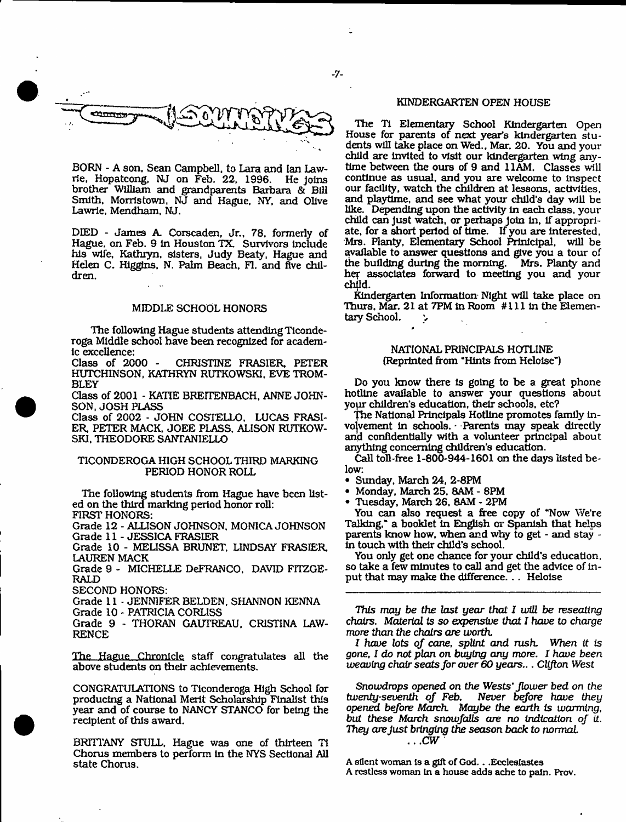

BORN - A son. Sean Campbell, to Lara and Ian Lawrie, Hopatcong, NJ on Feb. 22, 1996. He Joins brother William and grandparents Barbara & Bill Smith, Morristown, NJ and Hague, NY, and Olive Lawrle, Mendham, NJ.

DIED - James A. Corscaden, Jr., 78, formerly of Hague, on Feb. 9 In Houston TX. Survivors Include his wife, Kathryn, sisters, Judy Beaty, Hague and Helen C. Higgins. N. Palm Beach, FI. and five children.

#### MIDDLE SCHOOL HONORS

The following Hague students attending Tlconderoga Middle school have been recognized for academlc excellence:<br>Class of 2000 -

CHRISTINE FRASIER, PETER HUTCHINSON, KATHRYN RUTKOWSKI. EVE TROM-BLEY

Class of 2001 - KATIE BREITENBACH, ANNE JOHN-SON, JOSH PLASS

Class of 2002 - JOHN COSTELLO. LUCAS FRASI-ER, PETER MACK, JOEE PLASS, ALISON RUTKOW-SKI, THEODORE SANTANIELLO

# TICONDEROGA HIGH SCHOOL THIRD MARKING PERIOD HONOR ROLL

The following students from Hague have been listed on the third marking period honor roll: FIRST HONORS:

Grade 12 - ALLISON JOHNSON, MONICA JOHNSON Grade 11 - JESSICA FRASIER

Grade 10 - MELISSA BRUNET. LINDSAY FRASIER, LAUREN MACK

Grade 9 - MICHELLE DeFRANCO, DAVID FITZGE-RALD

SECOND HONORS:

Grade 11 - JENNIFER BELDEN, SHANNON KENNA

Grade 10 - PATRICIA CORLISS

Grade 9 - THORAN GAUTREAU. CRISTINA LAW-RENCE

The Hague Chronicle staff congratulates all the above students on their achievements.

CONGRATULATIONS to Ticonderoga High School for producing a National Merit Scholarship Finalist this year and of course to NANCY STANCO for being the recipient of this award.

BRITTANY STULL, Hague was one of thirteen TI Chorus members to perform In the NYS Sectional All state Chorus.

# KINDERGARTEN OPEN HOUSE

The Ti Elementary School Kindergarten Open House for parents of next year's kindergarten stu dents will take place on Wed., Mar. 20. You and your child are Invited to visit our kindergarten wing anytime between the ours of 9 and 11AM. Classes will continue as usual, and you are welcome to inspect our facility, watch the children at lessons, activities, and playtime, and see what your child's day will be like. Depending upon the activity in each class, your child can just watch, or perhaps join in, if appropriate, for a short period of time. If you are interested. Mrs. Planty, Elementary School Prinlcipal, will be available to answer questions and give you a tour of the building during the morning. Mrs. Planty and the building during the morning. her associates forward to meeting you and your child.

Kindergarten Information Night will take place on Thurs, Mar. 21 at 7PM In Room # 111 In the Elementary School.  $\rightarrow$ 

#### NATIONAL PRINCIPALS HOTLINE (Reprinted from "Hints from Heloise")

Do you know there Is going to be a great phone hotline available to answer your questions about yopr children's education, their schools, etc?

The National Principals Hotline promotes family involvement In schools. - Parents may speak directly and confidentially with a volunteer principal about anything concerning children's education.

Call toll-free 1-800-944-1601 on the days listed below:

- Sunday, March 24, 2-8PM
- Monday, March 25, 8AM 8PM
- Tuesday, March 26. 8AM 2PM

You can also request a free copy of "Now We're Talking," a booklet in English or Spanish that helps parents know how, when and why to get - and stay in touch with their child's school.

You only get one chance for your child's education, so take a few minutes to call and get the advice of input that may make the difference. . . Heloise

This *may be the last year that I will be reseating chairs.* Material *is so expensive that I have to charge more* than the chairs *are worth.*

*1 have lots of cane, splint and rush. When it is gone*, *I do not plan on buying any more. I have been weaving chair seats for over 60* years... *Clifton* West

*Snowdrops opened on the W ests'flower bed on the Never before have they* opened *before March. Maybe the earth* is *warming, but these March snowfalls are no indication of it. They are Just bringing the season back to normal ...CW*

A silent woman Is a gilt of God.. .Ecclesiastes A restless woman in a house adds ache to pain. Prov.